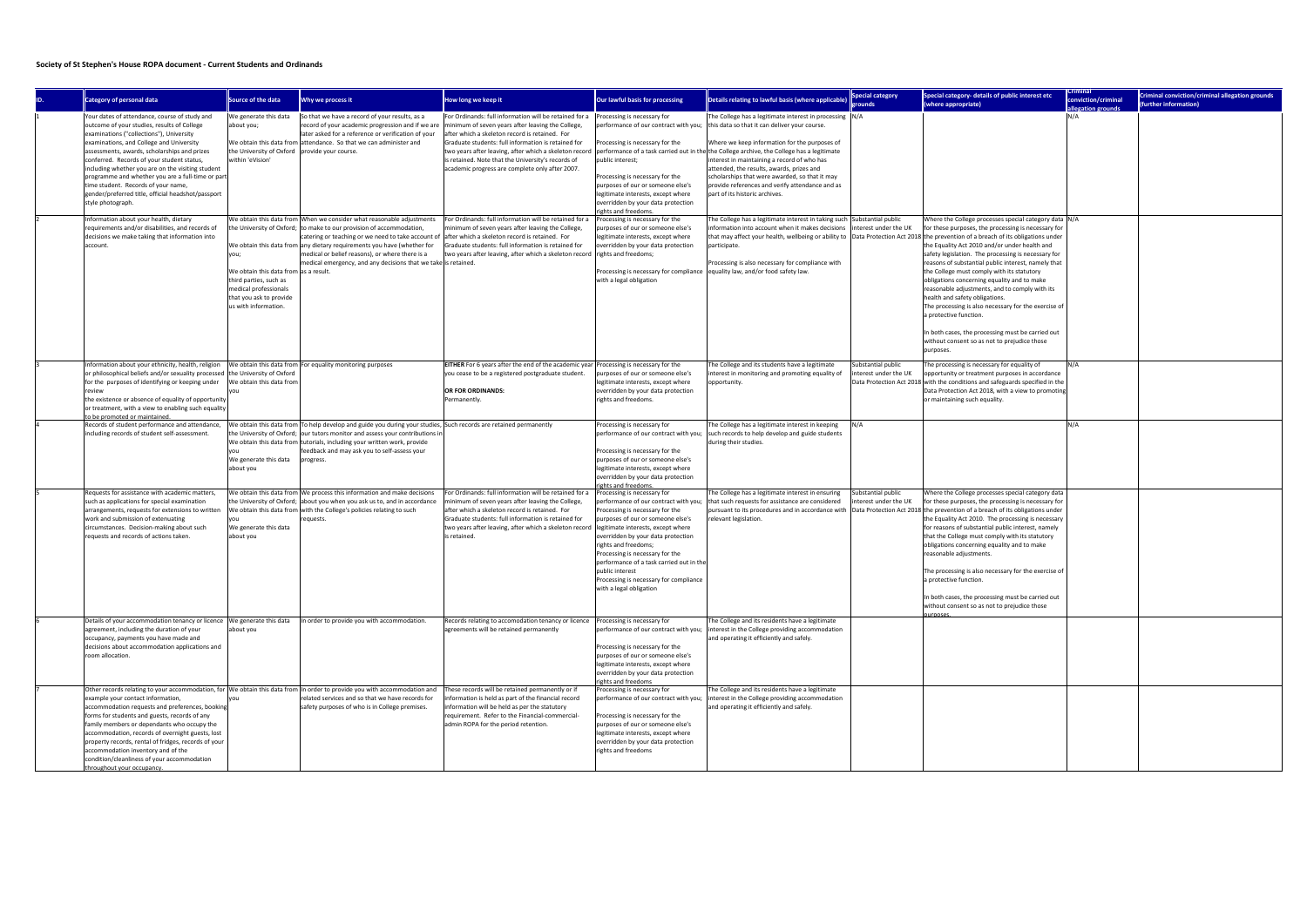## **Society of St Stephen's House ROPA document - Current Students and Ordinands**

| <b>Category of personal data</b>                                                                                                                                                                                                                                                                                                                                                                                                                                                                                | Source of the data                                                                                                                                  | Why we process it                                                                                                                                                                                                                                                                                                                                                                                  | How long we keep it                                                                                                                                                                                                                                                                                                                                                                     | Our lawful basis for processing                                                                                                                                                                                                                                                                                                                                                   | Details relating to lawful basis (where applicable)                                                                                                                                                                                                                                                                                                                                                                                                                                                                                 | pecial category<br>ounds                  | Special category- details of public interest etc<br>(where appropriate)                                                                                                                                                                                                                                                                                                                                                                                                                                                                                                                                                                                           | conviction/criminal<br>llegation grou | Criminal conviction/criminal allegation grounds<br>further information) |
|-----------------------------------------------------------------------------------------------------------------------------------------------------------------------------------------------------------------------------------------------------------------------------------------------------------------------------------------------------------------------------------------------------------------------------------------------------------------------------------------------------------------|-----------------------------------------------------------------------------------------------------------------------------------------------------|----------------------------------------------------------------------------------------------------------------------------------------------------------------------------------------------------------------------------------------------------------------------------------------------------------------------------------------------------------------------------------------------------|-----------------------------------------------------------------------------------------------------------------------------------------------------------------------------------------------------------------------------------------------------------------------------------------------------------------------------------------------------------------------------------------|-----------------------------------------------------------------------------------------------------------------------------------------------------------------------------------------------------------------------------------------------------------------------------------------------------------------------------------------------------------------------------------|-------------------------------------------------------------------------------------------------------------------------------------------------------------------------------------------------------------------------------------------------------------------------------------------------------------------------------------------------------------------------------------------------------------------------------------------------------------------------------------------------------------------------------------|-------------------------------------------|-------------------------------------------------------------------------------------------------------------------------------------------------------------------------------------------------------------------------------------------------------------------------------------------------------------------------------------------------------------------------------------------------------------------------------------------------------------------------------------------------------------------------------------------------------------------------------------------------------------------------------------------------------------------|---------------------------------------|-------------------------------------------------------------------------|
| Your dates of attendance, course of study and<br>outcome of your studies, results of College<br>examinations ("collections"), University<br>examinations, and College and University<br>assessments, awards, scholarships and prizes<br>conferred. Records of your student status,<br>including whether you are on the visiting student<br>programme and whether you are a full-time or part-<br>time student. Records of your name,<br>gender/preferred title, official headshot/passport<br>style photograph. | We generate this data<br>about you;<br>the University of Oxford   provide your course.<br>within 'eVision'                                          | So that we have a record of your results, as a<br>record of your academic progression and if we are<br>later asked for a reference or verification of your<br>We obtain this data from attendance. So that we can administer and                                                                                                                                                                   | For Ordinands: full information will be retained for a<br>minimum of seven years after leaving the College,<br>after which a skeleton record is retained. For<br>Graduate students: full information is retained for<br>two years after leaving, after which a skeleton record<br>is retained. Note that the University's records of<br>academic progress are complete only after 2007. | Processing is necessary for<br>Processing is necessary for the<br>public interest;<br>Processing is necessary for the<br>purposes of our or someone else's<br>legitimate interests, except where<br>overridden by your data protection<br>rights and freedoms                                                                                                                     | The College has a legitimate interest in processing  N/A<br>performance of our contract with you;   this data so that it can deliver your course.<br>Where we keep information for the purposes of<br>performance of a task carried out in the the College archive, the College has a legitimate<br>interest in maintaining a record of who has<br>attended, the results, awards, prizes and<br>scholarships that were awarded, so that it may<br>provide references and verify attendance and as<br>part of its historic archives. |                                           |                                                                                                                                                                                                                                                                                                                                                                                                                                                                                                                                                                                                                                                                   | IN/A                                  |                                                                         |
| Information about your health, dietary<br>requirements and/or disabilities, and records of<br>decisions we make taking that information into<br>account.                                                                                                                                                                                                                                                                                                                                                        | you;<br>We obtain this data from as a result.<br>third parties, such as<br>medical professionals<br>that you ask to provide<br>us with information. | We obtain this data from When we consider what reasonable adjustments<br>the University of Oxford; to make to our provision of accommodation,<br>catering or teaching or we need to take account of<br>We obtain this data from any dietary requirements you have (whether for<br>medical or belief reasons), or where there is a<br>medical emergency, and any decisions that we take is retained | For Ordinands: full information will be retained for a<br>minimum of seven years after leaving the College,<br>after which a skeleton record is retained. For<br>Graduate students: full information is retained for<br>two years after leaving, after which a skeleton record rights and freedoms;                                                                                     | Processing is necessary for the<br>purposes of our or someone else's<br>legitimate interests, except where<br>overridden by your data protection<br>Processing is necessary for compliance   equality law, and/or food safety law.<br>with a legal obligation                                                                                                                     | The College has a legitimate interest in taking such Substantial public<br>information into account when it makes decisions<br>that may affect your health, wellbeing or ability to Data Protection Act 2018 the prevention of a breach of its obligations under<br>participate.<br>Processing is also necessary for compliance with                                                                                                                                                                                                | nterest under the UK                      | Where the College processes special category data  N/A<br>for these purposes, the processing is necessary for<br>the Equality Act 2010 and/or under health and<br>safety legislation. The processing is necessary for<br>reasons of substantial public interest, namely that<br>the College must comply with its statutory<br>obligations concerning equality and to make<br>reasonable adjustments, and to comply with its<br>health and safety obligations.<br>The processing is also necessary for the exercise of<br>a protective function.<br>In both cases, the processing must be carried out<br>without consent so as not to prejudice those<br>purposes. |                                       |                                                                         |
| Information about your ethnicity, health, religion  We obtain this data from For equality monitoring purposes<br>or philosophical beliefs and/or sexuality processed the University of Oxford<br>for the purposes of identifying or keeping under<br>review<br>the existence or absence of equality of opportunity<br>or treatment, with a view to enabling such equality<br>o be promoted or maintained.                                                                                                       | We obtain this data from                                                                                                                            |                                                                                                                                                                                                                                                                                                                                                                                                    | <b>EITHER</b> For 6 years after the end of the academic year Processing is necessary for the<br>you cease to be a registered postgraduate student.<br>OR FOR ORDINANDS:<br>Permanently.                                                                                                                                                                                                 | purposes of our or someone else's<br>legitimate interests, except where<br>overridden by your data protection<br>rights and freedoms.                                                                                                                                                                                                                                             | The College and its students have a legitimate<br>interest in monitoring and promoting equality of<br>opportunity                                                                                                                                                                                                                                                                                                                                                                                                                   | Substantial public<br>terest under the UK | The processing is necessary for equality of<br>opportunity or treatment purposes in accordance<br>Data Protection Act 2018 with the conditions and safeguards specified in the<br>Data Protection Act 2018, with a view to promoting<br>or maintaining such equality.                                                                                                                                                                                                                                                                                                                                                                                             | IN/A                                  |                                                                         |
| Records of student performance and attendance,<br>including records of student self-assessment.                                                                                                                                                                                                                                                                                                                                                                                                                 | We generate this data<br>about you                                                                                                                  | We obtain this data from To help develop and guide you during your studies, Such records are retained permanently<br>the University of Oxford;  our tutors monitor and assess your contributions ir<br>We obtain this data from tutorials, including your written work, provide<br>feedback and may ask you to self-assess your<br>progress.                                                       |                                                                                                                                                                                                                                                                                                                                                                                         | Processing is necessary for<br>performance of our contract with you;<br>Processing is necessary for the<br>purposes of our or someone else's<br>legitimate interests, except where<br>overridden by your data protection<br>rights and freedoms.                                                                                                                                  | The College has a legitimate interest in keeping<br>such records to help develop and guide students<br>during their studies.                                                                                                                                                                                                                                                                                                                                                                                                        |                                           |                                                                                                                                                                                                                                                                                                                                                                                                                                                                                                                                                                                                                                                                   | IN/A                                  |                                                                         |
| Requests for assistance with academic matters,<br>such as applications for special examination<br>arrangements, requests for extensions to writter<br>work and submission of extenuating<br>circumstances. Decision-making about such<br>requests and records of actions taken.                                                                                                                                                                                                                                 | vou<br>We generate this data<br>about you                                                                                                           | We obtain this data from We process this information and make decisions<br>the University of Oxford; about you when you ask us to, and in accordance<br>We obtain this data from with the College's policies relating to such<br>equests.                                                                                                                                                          | For Ordinands: full information will be retained for a<br>minimum of seven years after leaving the College,<br>after which a skeleton record is retained. For<br>Graduate students: full information is retained for<br>two years after leaving, after which a skeleton record legitimate interests, except where<br>is retained                                                        | Processing is necessary for<br>performance of our contract with you;<br>Processing is necessary for the<br>purposes of our or someone else's<br>overridden by your data protection<br>rights and freedoms;<br>Processing is necessary for the<br>performance of a task carried out in the<br>public interest<br>Processing is necessary for compliance<br>with a legal obligation | The College has a legitimate interest in ensuring<br>that such requests for assistance are considered<br>pursuant to its procedures and in accordance with  Data Protection Act 2018 the prevention of a breach of its obligations under<br>relevant legislation.                                                                                                                                                                                                                                                                   | Substantial public<br>terest under the UK | Where the College processes special category data<br>for these purposes, the processing is necessary for<br>the Equality Act 2010. The processing is necessary<br>for reasons of substantial public interest, namely<br>that the College must comply with its statutory<br>obligations concerning equality and to make<br>reasonable adjustments.<br>The processing is also necessary for the exercise of<br>a protective function.<br>n both cases, the processing must be carried out<br>without consent so as not to prejudice those<br>urnoses.                                                                                                               |                                       |                                                                         |
| Details of your accommodation tenancy or licence We generate this data<br>agreement, including the duration of your<br>occupancy, payments you have made and<br>decisions about accommodation applications and<br>room allocation.                                                                                                                                                                                                                                                                              | about you                                                                                                                                           | In order to provide you with accommodation.                                                                                                                                                                                                                                                                                                                                                        | Records relating to accomodation tenancy or licence   Processing is necessary for<br>agreements will be retained permanently                                                                                                                                                                                                                                                            | Processing is necessary for the<br>purposes of our or someone else's<br>legitimate interests, except where<br>overridden by your data protection<br>rights and freedoms                                                                                                                                                                                                           | The College and its residents have a legitimate<br>performance of our contract with you;  interest in the College providing accommodation<br>and operating it efficiently and safely.                                                                                                                                                                                                                                                                                                                                               |                                           |                                                                                                                                                                                                                                                                                                                                                                                                                                                                                                                                                                                                                                                                   |                                       |                                                                         |
| example your contact information,<br>accommodation requests and preferences, booking<br>forms for students and guests, records of any<br>family members or dependants who occupy the<br>accommodation, records of overnight guests, lost<br>property records, rental of fridges, records of your<br>accommodation inventory and of the<br>condition/cleanliness of your accommodation<br>hroughout your occupancy.                                                                                              |                                                                                                                                                     | Other records relating to your accommodation, for We obtain this data from In order to provide you with accommodation and<br>related services and so that we have records for<br>safety purposes of who is in College premises.                                                                                                                                                                    | These records will be retained permanently or if<br>information is held as part of the financial record<br>information will be held as per the statutory<br>requirement. Refer to the Financial-commercial-<br>admin ROPA for the period retention.                                                                                                                                     | Processing is necessary for<br>performance of our contract with you;<br>Processing is necessary for the<br>purposes of our or someone else's<br>legitimate interests, except where<br>overridden by your data protection<br>rights and freedoms                                                                                                                                   | The College and its residents have a legitimate<br>interest in the College providing accommodation<br>and operating it efficiently and safely.                                                                                                                                                                                                                                                                                                                                                                                      |                                           |                                                                                                                                                                                                                                                                                                                                                                                                                                                                                                                                                                                                                                                                   |                                       |                                                                         |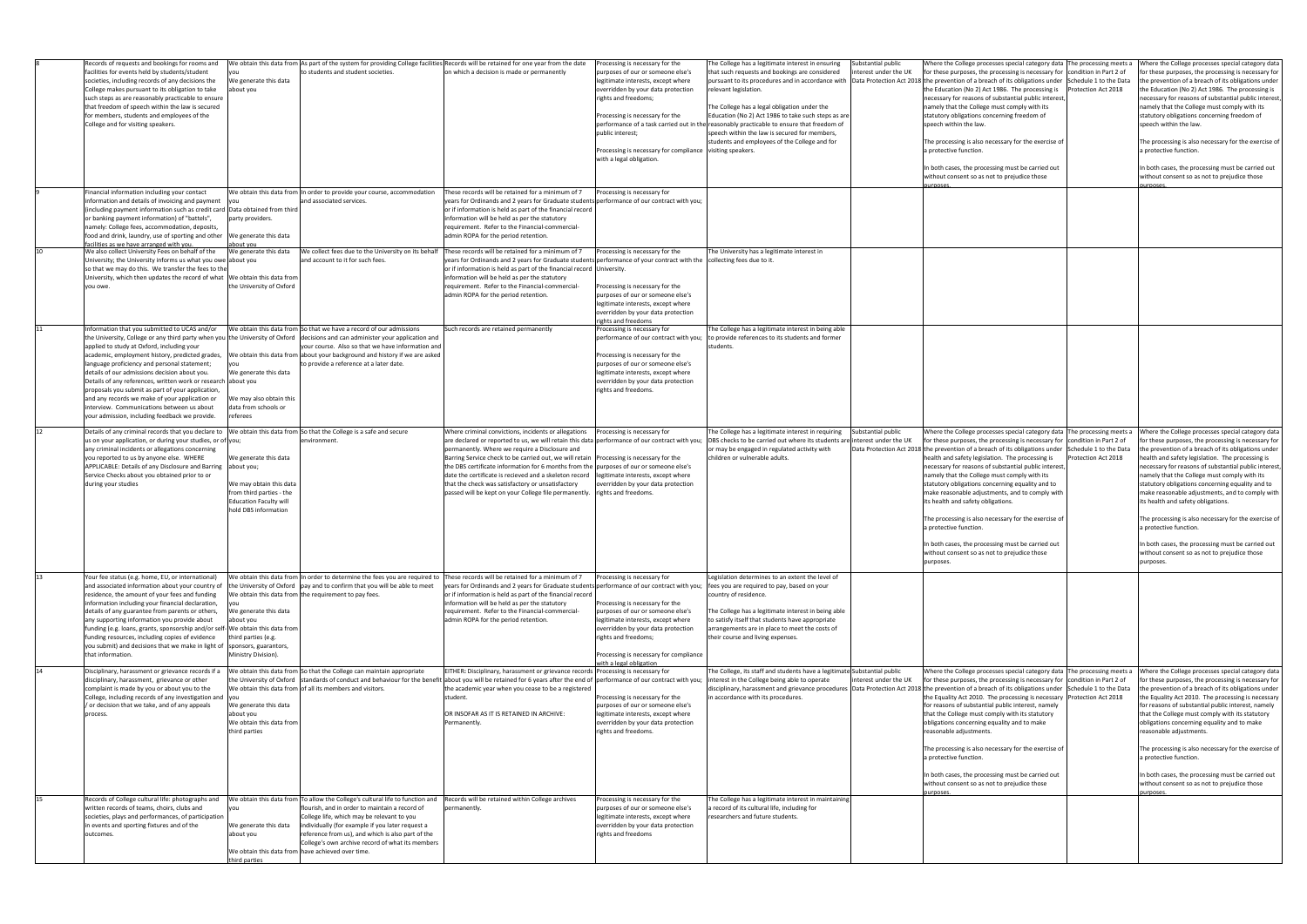|    | Records of requests and bookings for rooms and<br>facilities for events held by students/student<br>societies, including records of any decisions the<br>College makes pursuant to its obligation to take<br>such steps as are reasonably practicable to ensure<br>that freedom of speech within the law is secured<br>for members, students and employees of the<br>College and for visiting speakers.                                                                                                                          | We generate this data<br>about you                                                                                                                  | to students and student societies.                                                                                                                                                                                                                                                     | We obtain this data from As part of the system for providing College facilities Records will be retained for one year from the date<br>on which a decision is made or permanently                                                                                                                                                                            | Processing is necessary for the<br>purposes of our or someone else's<br>legitimate interests, except where<br>overridden by your data protection<br>rights and freedoms;<br>Processing is necessary for the<br>public interest;                                              | The College has a legitimate interest in ensuring<br>that such requests and bookings are considered<br>relevant legislation.<br>The College has a legal obligation under the<br>Education (No 2) Act 1986 to take such steps as are<br>performance of a task carried out in the reasonably practicable to ensure that freedom of<br>speech within the law is secured for members,<br>students and employees of the College and for | Substantial public<br>nterest under the UK | Where the College processes special category data The processing meets a<br>for these purposes, the processing is necessary for condition in Part 2 of<br>pursuant to its procedures and in accordance with  Data Protection Act 2018 the prevention of a breach of its obligations under  Schedule 1 to the Data<br>the Education (No 2) Act 1986. The processing is<br>necessary for reasons of substantial public interest,<br>namely that the College must comply with its<br>statutory obligations concerning freedom of<br>speech within the law.<br>The processing is also necessary for the exercise of | Protection Act 2018 | Where the College processes special category data<br>for these purposes, the processing is necessary for<br>the prevention of a breach of its obligations under<br>the Education (No 2) Act 1986. The processing is<br>necessary for reasons of substantial public interest,<br>namely that the College must comply with its<br>statutory obligations concerning freedom of<br>speech within the law.<br>The processing is also necessary for the exercise of |
|----|----------------------------------------------------------------------------------------------------------------------------------------------------------------------------------------------------------------------------------------------------------------------------------------------------------------------------------------------------------------------------------------------------------------------------------------------------------------------------------------------------------------------------------|-----------------------------------------------------------------------------------------------------------------------------------------------------|----------------------------------------------------------------------------------------------------------------------------------------------------------------------------------------------------------------------------------------------------------------------------------------|--------------------------------------------------------------------------------------------------------------------------------------------------------------------------------------------------------------------------------------------------------------------------------------------------------------------------------------------------------------|------------------------------------------------------------------------------------------------------------------------------------------------------------------------------------------------------------------------------------------------------------------------------|------------------------------------------------------------------------------------------------------------------------------------------------------------------------------------------------------------------------------------------------------------------------------------------------------------------------------------------------------------------------------------------------------------------------------------|--------------------------------------------|-----------------------------------------------------------------------------------------------------------------------------------------------------------------------------------------------------------------------------------------------------------------------------------------------------------------------------------------------------------------------------------------------------------------------------------------------------------------------------------------------------------------------------------------------------------------------------------------------------------------|---------------------|---------------------------------------------------------------------------------------------------------------------------------------------------------------------------------------------------------------------------------------------------------------------------------------------------------------------------------------------------------------------------------------------------------------------------------------------------------------|
|    |                                                                                                                                                                                                                                                                                                                                                                                                                                                                                                                                  |                                                                                                                                                     |                                                                                                                                                                                                                                                                                        |                                                                                                                                                                                                                                                                                                                                                              | Processing is necessary for compliance  visiting speakers.<br>with a legal obligation.                                                                                                                                                                                       |                                                                                                                                                                                                                                                                                                                                                                                                                                    |                                            | a protective function.<br>In both cases, the processing must be carried out                                                                                                                                                                                                                                                                                                                                                                                                                                                                                                                                     |                     | a protective function.<br>In both cases, the processing must be carried out                                                                                                                                                                                                                                                                                                                                                                                   |
|    |                                                                                                                                                                                                                                                                                                                                                                                                                                                                                                                                  |                                                                                                                                                     |                                                                                                                                                                                                                                                                                        |                                                                                                                                                                                                                                                                                                                                                              |                                                                                                                                                                                                                                                                              |                                                                                                                                                                                                                                                                                                                                                                                                                                    |                                            | without consent so as not to prejudice those<br>urnoses                                                                                                                                                                                                                                                                                                                                                                                                                                                                                                                                                         |                     | without consent so as not to prejudice those<br>irposes.                                                                                                                                                                                                                                                                                                                                                                                                      |
|    | Financial information including your contact<br>information and details of invoicing and payment<br>(including payment information such as credit card Data obtained from third<br>or banking payment information) of "battels",<br>namely: College fees, accommodation, deposits,<br>food and drink, laundry, use of sporting and other                                                                                                                                                                                         | you<br>party providers.<br>We generate this data                                                                                                    | We obtain this data from In order to provide your course, accommodation<br>and associated services.                                                                                                                                                                                    | These records will be retained for a minimum of 7<br>years for Ordinands and 2 years for Graduate students performance of our contract with you;<br>or if information is held as part of the financial record<br>information will be held as per the statutory<br>requirement. Refer to the Financial-commercial-<br>admin ROPA for the period retention.    | Processing is necessary for                                                                                                                                                                                                                                                  |                                                                                                                                                                                                                                                                                                                                                                                                                                    |                                            |                                                                                                                                                                                                                                                                                                                                                                                                                                                                                                                                                                                                                 |                     |                                                                                                                                                                                                                                                                                                                                                                                                                                                               |
| 10 | facilities as we have arranged with you<br>We also collect University Fees on behalf of the                                                                                                                                                                                                                                                                                                                                                                                                                                      | <u>about you</u><br>We generate this data                                                                                                           | We collect fees due to the University on its behalf                                                                                                                                                                                                                                    | These records will be retained for a minimum of 7                                                                                                                                                                                                                                                                                                            | Processing is necessary for the                                                                                                                                                                                                                                              | The University has a legitimate interest in                                                                                                                                                                                                                                                                                                                                                                                        |                                            |                                                                                                                                                                                                                                                                                                                                                                                                                                                                                                                                                                                                                 |                     |                                                                                                                                                                                                                                                                                                                                                                                                                                                               |
|    | University; the University informs us what you owe about you<br>so that we may do this. We transfer the fees to the<br>University, which then updates the record of what  We obtain this data from<br>you owe.                                                                                                                                                                                                                                                                                                                   | the University of Oxford                                                                                                                            | and account to it for such fees.                                                                                                                                                                                                                                                       | years for Ordinands and 2 years for Graduate students performance of your contract with the collecting fees due to it.<br>or if information is held as part of the financial record University.<br>information will be held as per the statutory<br>requirement. Refer to the Financial-commercial-<br>admin ROPA for the period retention.                  | Processing is necessary for the<br>purposes of our or someone else's                                                                                                                                                                                                         |                                                                                                                                                                                                                                                                                                                                                                                                                                    |                                            |                                                                                                                                                                                                                                                                                                                                                                                                                                                                                                                                                                                                                 |                     |                                                                                                                                                                                                                                                                                                                                                                                                                                                               |
|    |                                                                                                                                                                                                                                                                                                                                                                                                                                                                                                                                  |                                                                                                                                                     |                                                                                                                                                                                                                                                                                        |                                                                                                                                                                                                                                                                                                                                                              | legitimate interests, except where<br>overridden by your data protection<br>ights and freedoms                                                                                                                                                                               |                                                                                                                                                                                                                                                                                                                                                                                                                                    |                                            |                                                                                                                                                                                                                                                                                                                                                                                                                                                                                                                                                                                                                 |                     |                                                                                                                                                                                                                                                                                                                                                                                                                                                               |
| 11 | Information that you submitted to UCAS and/or                                                                                                                                                                                                                                                                                                                                                                                                                                                                                    |                                                                                                                                                     | We obtain this data from So that we have a record of our admissions                                                                                                                                                                                                                    | Such records are retained permanently                                                                                                                                                                                                                                                                                                                        | Processing is necessary for                                                                                                                                                                                                                                                  | The College has a legitimate interest in being able                                                                                                                                                                                                                                                                                                                                                                                |                                            |                                                                                                                                                                                                                                                                                                                                                                                                                                                                                                                                                                                                                 |                     |                                                                                                                                                                                                                                                                                                                                                                                                                                                               |
|    | the University, College or any third party when you the University of Oxford  decisions and can administer your application and<br>applied to study at Oxford, including your<br>academic, employment history, predicted grades,<br>language proficiency and personal statement;<br>details of our admissions decision about you.<br>Details of any references, written work or research about you<br>proposals you submit as part of your application,                                                                          | We generate this data                                                                                                                               | your course. Also so that we have information and<br>We obtain this data from about your background and history if we are asked<br>o provide a reference at a later date                                                                                                               |                                                                                                                                                                                                                                                                                                                                                              | performance of our contract with you;<br>Processing is necessary for the<br>purposes of our or someone else's<br>legitimate interests, except where<br>overridden by your data protection<br>rights and freedoms.                                                            | to provide references to its students and former<br>students                                                                                                                                                                                                                                                                                                                                                                       |                                            |                                                                                                                                                                                                                                                                                                                                                                                                                                                                                                                                                                                                                 |                     |                                                                                                                                                                                                                                                                                                                                                                                                                                                               |
|    | and any records we make of your application or<br>interview. Communications between us about<br>your admission, including feedback we provide.                                                                                                                                                                                                                                                                                                                                                                                   | We may also obtain this<br>data from schools or<br>referees                                                                                         |                                                                                                                                                                                                                                                                                        |                                                                                                                                                                                                                                                                                                                                                              |                                                                                                                                                                                                                                                                              |                                                                                                                                                                                                                                                                                                                                                                                                                                    |                                            |                                                                                                                                                                                                                                                                                                                                                                                                                                                                                                                                                                                                                 |                     |                                                                                                                                                                                                                                                                                                                                                                                                                                                               |
| 12 | Details of any criminal records that you declare to                                                                                                                                                                                                                                                                                                                                                                                                                                                                              |                                                                                                                                                     | We obtain this data from So that the College is a safe and secure<br>environment.                                                                                                                                                                                                      | Where criminal convictions, incidents or allegations                                                                                                                                                                                                                                                                                                         | Processing is necessary for                                                                                                                                                                                                                                                  | The College has a legitimate interest in requiring                                                                                                                                                                                                                                                                                                                                                                                 | Substantial public                         | Where the College processes special category data  The processing meets a                                                                                                                                                                                                                                                                                                                                                                                                                                                                                                                                       |                     | Where the College processes special category data                                                                                                                                                                                                                                                                                                                                                                                                             |
|    | us on your application, or during your studies, or of you;<br>any criminal incidents or allegations concerning                                                                                                                                                                                                                                                                                                                                                                                                                   |                                                                                                                                                     |                                                                                                                                                                                                                                                                                        | are declared or reported to us, we will retain this data performance of our contract with you;<br>permanently. Where we require a Disclosure and                                                                                                                                                                                                             |                                                                                                                                                                                                                                                                              | DBS checks to be carried out where its students are interest under the UK<br>or may be engaged in regulated activity with                                                                                                                                                                                                                                                                                                          |                                            | for these purposes, the processing is necessary for condition in Part 2 of<br>Data Protection Act 2018 the prevention of a breach of its obligations under Schedule 1 to the Data                                                                                                                                                                                                                                                                                                                                                                                                                               |                     | for these purposes, the processing is necessary for<br>the prevention of a breach of its obligations under                                                                                                                                                                                                                                                                                                                                                    |
|    | you reported to us by anyone else. WHERE<br>APPLICABLE: Details of any Disclosure and Barring<br>Service Checks about you obtained prior to or<br>during your studies                                                                                                                                                                                                                                                                                                                                                            | We generate this data<br>about you;<br>We may obtain this data<br>from third parties - the<br><b>Education Faculty will</b><br>hold DBS information |                                                                                                                                                                                                                                                                                        | Barring Service check to be carried out, we will retain   Processing is necessary for the<br>the DBS certificate information for 6 months from the purposes of our or someone else's<br>date the certificate is recieved and a skeleton record<br>that the check was satisfactory or unsatisfactory<br>passed will be kept on your College file permanently. | legitimate interests, except where<br>overridden by your data protection<br>rights and freedoms.                                                                                                                                                                             | children or vulnerable adults.                                                                                                                                                                                                                                                                                                                                                                                                     |                                            | health and safety legislation. The processing is<br>necessary for reasons of substantial public interest,<br>namely that the College must comply with its<br>statutory obligations concerning equality and to<br>make reasonable adjustments, and to comply with<br>its health and safety obligations.                                                                                                                                                                                                                                                                                                          | Protection Act 2018 | health and safety legislation. The processing is<br>necessary for reasons of substantial public interest,<br>namely that the College must comply with its<br>statutory obligations concerning equality and to<br>make reasonable adjustments, and to comply with<br>its health and safety obligations.                                                                                                                                                        |
|    |                                                                                                                                                                                                                                                                                                                                                                                                                                                                                                                                  |                                                                                                                                                     |                                                                                                                                                                                                                                                                                        |                                                                                                                                                                                                                                                                                                                                                              |                                                                                                                                                                                                                                                                              |                                                                                                                                                                                                                                                                                                                                                                                                                                    |                                            | The processing is also necessary for the exercise of<br>a protective function.                                                                                                                                                                                                                                                                                                                                                                                                                                                                                                                                  |                     | The processing is also necessary for the exercise of<br>a protective function.                                                                                                                                                                                                                                                                                                                                                                                |
|    |                                                                                                                                                                                                                                                                                                                                                                                                                                                                                                                                  |                                                                                                                                                     |                                                                                                                                                                                                                                                                                        |                                                                                                                                                                                                                                                                                                                                                              |                                                                                                                                                                                                                                                                              |                                                                                                                                                                                                                                                                                                                                                                                                                                    |                                            | In both cases, the processing must be carried out<br>without consent so as not to prejudice those<br>purposes.                                                                                                                                                                                                                                                                                                                                                                                                                                                                                                  |                     | h both cases, the processing must be carried out<br>without consent so as not to prejudice those<br>purposes.                                                                                                                                                                                                                                                                                                                                                 |
| 13 | Your fee status (e.g. home, EU, or international)<br>and associated information about your country of<br>residence, the amount of your fees and funding<br>information including your financial declaration,<br>details of any guarantee from parents or others,<br>any supporting information you provide about<br>funding (e.g. loans, grants, sponsorship and/or self- We obtain this data from<br>funding resources, including copies of evidence<br>you submit) and decisions that we make in light of<br>that information. | We generate this data<br>about you<br>third parties (e.g.<br>sponsors, guarantors,<br>Ministry Division).                                           | We obtain this data from In order to determine the fees you are required to<br>the University of Oxford   pay and to confirm that you will be able to meet<br>We obtain this data from the requirement to pay fees.                                                                    | These records will be retained for a minimum of 7<br>years for Ordinands and 2 years for Graduate students performance of our contract with you;<br>or if information is held as part of the financial record<br>information will be held as per the statutory<br>requirement. Refer to the Financial-commercial-<br>admin ROPA for the period retention.    | Processing is necessary for<br>Processing is necessary for the<br>purposes of our or someone else's<br>legitimate interests, except where<br>overridden by your data protection<br>rights and freedoms;<br>Processing is necessary for compliance<br>with a legal obligation | egislation determines to an extent the level of<br>fees you are required to pay, based on your<br>country of residence.<br>The College has a legitimate interest in being able<br>to satisfy itself that students have appropriate<br>arrangements are in place to meet the costs of<br>their course and living expenses.                                                                                                          |                                            |                                                                                                                                                                                                                                                                                                                                                                                                                                                                                                                                                                                                                 |                     |                                                                                                                                                                                                                                                                                                                                                                                                                                                               |
| 14 | Disciplinary, harassment or grievance records if a<br>disciplinary, harassment, grievance or other<br>complaint is made by you or about you to the<br>College, including records of any investigation and you                                                                                                                                                                                                                                                                                                                    |                                                                                                                                                     | We obtain this data from So that the College can maintain appropriate<br>the University of Oxford   standards of conduct and behaviour for the benefit<br>We obtain this data from of all its members and visitors.                                                                    | EITHER: Disciplinary, harassment or grievance records Processing is necessary for<br>t about you will be retained for 6 years after the end of performance of our contract with you;<br>the academic year when you cease to be a registered<br>student.                                                                                                      | Processing is necessary for the                                                                                                                                                                                                                                              | The College, its staff and students have a legitimate Substantial public<br>interest in the College being able to operate<br>n accordance with its procedures.                                                                                                                                                                                                                                                                     | interest under the UK                      | Where the College processes special category data The processing meets a<br>for these purposes, the processing is necessary for condition in Part 2 of<br>disciplinary, harassment and grievance procedures  Data Protection Act 2018 the prevention of a breach of its obligations under  Schedule 1 to the Data<br>the Equality Act 2010. The processing is necessary Protection Act 2018                                                                                                                                                                                                                     |                     | Where the College processes special category data<br>for these purposes, the processing is necessary for<br>the prevention of a breach of its obligations under<br>the Equality Act 2010. The processing is necessary                                                                                                                                                                                                                                         |
|    | / or decision that we take, and of any appeals<br>process.                                                                                                                                                                                                                                                                                                                                                                                                                                                                       | We generate this data<br>about you<br>We obtain this data from<br>third parties                                                                     |                                                                                                                                                                                                                                                                                        | OR INSOFAR AS IT IS RETAINED IN ARCHIVE:<br>Permanently.                                                                                                                                                                                                                                                                                                     | purposes of our or someone else's<br>legitimate interests, except where<br>overridden by your data protection<br>rights and freedoms.                                                                                                                                        |                                                                                                                                                                                                                                                                                                                                                                                                                                    |                                            | for reasons of substantial public interest, namely<br>that the College must comply with its statutory<br>obligations concerning equality and to make<br>reasonable adjustments.                                                                                                                                                                                                                                                                                                                                                                                                                                 |                     | for reasons of substantial public interest, namely<br>that the College must comply with its statutory<br>obligations concerning equality and to make<br>reasonable adjustments.                                                                                                                                                                                                                                                                               |
|    |                                                                                                                                                                                                                                                                                                                                                                                                                                                                                                                                  |                                                                                                                                                     |                                                                                                                                                                                                                                                                                        |                                                                                                                                                                                                                                                                                                                                                              |                                                                                                                                                                                                                                                                              |                                                                                                                                                                                                                                                                                                                                                                                                                                    |                                            | The processing is also necessary for the exercise of<br>a protective function.                                                                                                                                                                                                                                                                                                                                                                                                                                                                                                                                  |                     | The processing is also necessary for the exercise of<br>a protective function.                                                                                                                                                                                                                                                                                                                                                                                |
|    |                                                                                                                                                                                                                                                                                                                                                                                                                                                                                                                                  |                                                                                                                                                     |                                                                                                                                                                                                                                                                                        |                                                                                                                                                                                                                                                                                                                                                              |                                                                                                                                                                                                                                                                              |                                                                                                                                                                                                                                                                                                                                                                                                                                    |                                            | In both cases, the processing must be carried out<br>without consent so as not to prejudice those<br>ourposes.                                                                                                                                                                                                                                                                                                                                                                                                                                                                                                  |                     | In both cases, the processing must be carried out<br>without consent so as not to prejudice those<br>urposes.                                                                                                                                                                                                                                                                                                                                                 |
| 15 | Records of College cultural life: photographs and<br>written records of teams, choirs, clubs and<br>societies, plays and performances, of participation<br>in events and sporting fixtures and of the<br>outcomes.                                                                                                                                                                                                                                                                                                               | We generate this data<br>about you                                                                                                                  | We obtain this data from To allow the College's cultural life to function and<br>flourish, and in order to maintain a record of<br>College life, which may be relevant to you<br>individually (for example if you later request a<br>reference from us), and which is also part of the | Records will be retained within College archives<br>permanently.                                                                                                                                                                                                                                                                                             | Processing is necessary for the<br>purposes of our or someone else's<br>legitimate interests, except where<br>overridden by your data protection<br>rights and freedoms                                                                                                      | [The College has a legitimate interest in maintaining<br>a record of its cultural life, including for<br>researchers and future students.                                                                                                                                                                                                                                                                                          |                                            |                                                                                                                                                                                                                                                                                                                                                                                                                                                                                                                                                                                                                 |                     |                                                                                                                                                                                                                                                                                                                                                                                                                                                               |
|    |                                                                                                                                                                                                                                                                                                                                                                                                                                                                                                                                  | third parties                                                                                                                                       | College's own archive record of what its members<br>We obtain this data from have achieved over time.                                                                                                                                                                                  |                                                                                                                                                                                                                                                                                                                                                              |                                                                                                                                                                                                                                                                              |                                                                                                                                                                                                                                                                                                                                                                                                                                    |                                            |                                                                                                                                                                                                                                                                                                                                                                                                                                                                                                                                                                                                                 |                     |                                                                                                                                                                                                                                                                                                                                                                                                                                                               |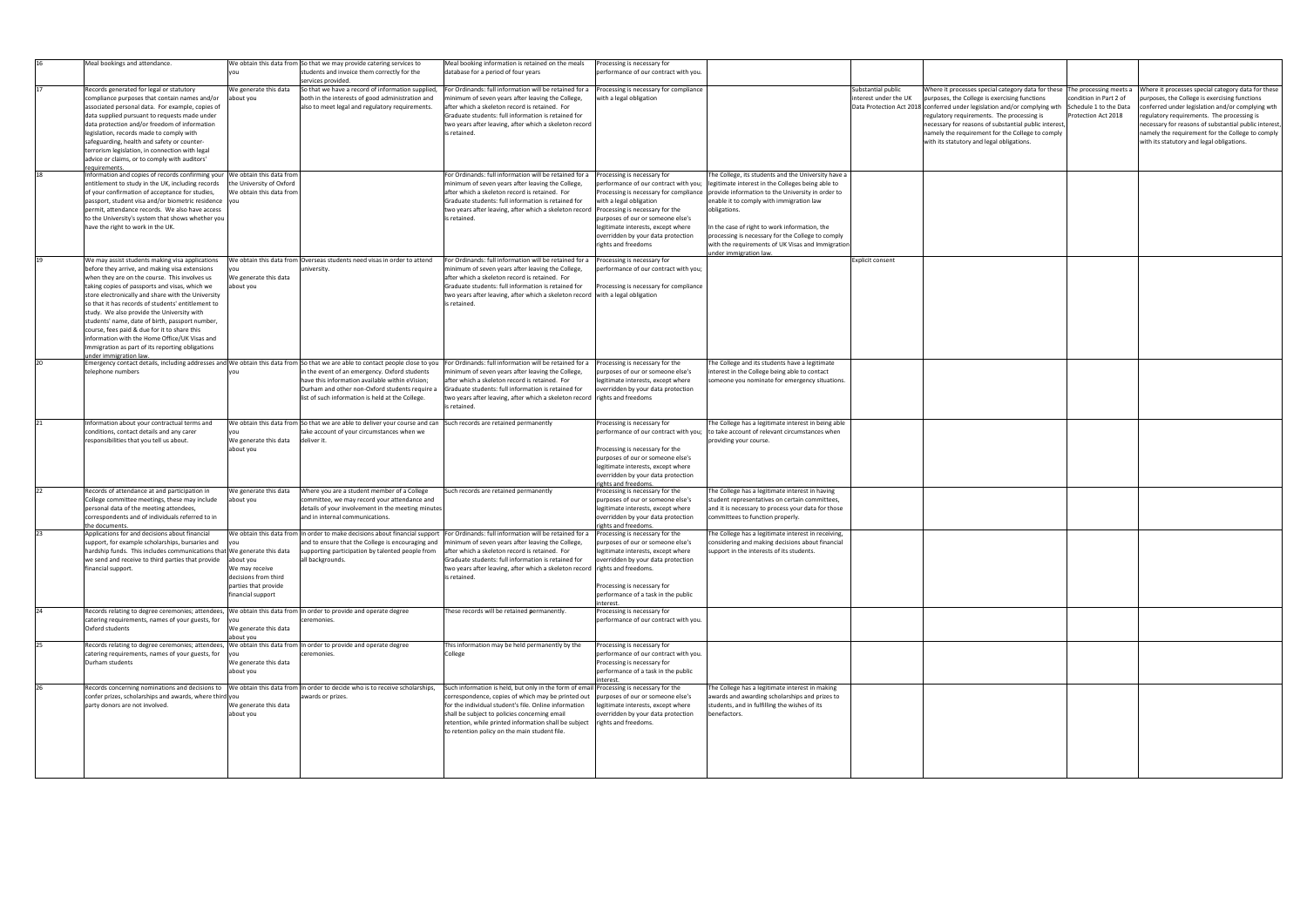|              | Meal bookings and attendance.                                                                                                                                                                                                                                                                                                                                                                                                                                                                                                                                                                  |                                                                                     | We obtain this data from So that we may provide catering services to<br>students and invoice them correctly for the<br>services provided.                                                              | Meal booking information is retained on the meals<br>database for a period of four years                                                                                                                                                                                                                                                                                                                                                              | Processing is necessary for<br>performance of our contract with you.                                                                                                                                                                            |                                                                                                                                                                                                                                                                                                                                                                                                                                                                |                                             |                                                                                                                                                                                                                                                                                                                                                                                                                                            |                                               |                                                                                                                                                                                                                                                                                                                                                                 |
|--------------|------------------------------------------------------------------------------------------------------------------------------------------------------------------------------------------------------------------------------------------------------------------------------------------------------------------------------------------------------------------------------------------------------------------------------------------------------------------------------------------------------------------------------------------------------------------------------------------------|-------------------------------------------------------------------------------------|--------------------------------------------------------------------------------------------------------------------------------------------------------------------------------------------------------|-------------------------------------------------------------------------------------------------------------------------------------------------------------------------------------------------------------------------------------------------------------------------------------------------------------------------------------------------------------------------------------------------------------------------------------------------------|-------------------------------------------------------------------------------------------------------------------------------------------------------------------------------------------------------------------------------------------------|----------------------------------------------------------------------------------------------------------------------------------------------------------------------------------------------------------------------------------------------------------------------------------------------------------------------------------------------------------------------------------------------------------------------------------------------------------------|---------------------------------------------|--------------------------------------------------------------------------------------------------------------------------------------------------------------------------------------------------------------------------------------------------------------------------------------------------------------------------------------------------------------------------------------------------------------------------------------------|-----------------------------------------------|-----------------------------------------------------------------------------------------------------------------------------------------------------------------------------------------------------------------------------------------------------------------------------------------------------------------------------------------------------------------|
| 17           | Records generated for legal or statutory<br>compliance purposes that contain names and/or<br>associated personal data. For example, copies of<br>data supplied pursuant to requests made under<br>data protection and/or freedom of information<br>legislation, records made to comply with<br>safeguarding, health and safety or counter-<br>terrorism legislation, in connection with legal<br>advice or claims, or to comply with auditors'                                                                                                                                                 | We generate this data<br>about you                                                  | So that we have a record of information supplied<br>both in the interests of good administration and<br>also to meet legal and regulatory requirements.                                                | For Ordinands: full information will be retained for a<br>minimum of seven years after leaving the College,<br>after which a skeleton record is retained. For<br>Graduate students: full information is retained for<br>two years after leaving, after which a skeleton record<br>is retained.                                                                                                                                                        | Processing is necessary for compliance<br>with a legal obligation                                                                                                                                                                               |                                                                                                                                                                                                                                                                                                                                                                                                                                                                | Substantial public<br>interest under the UK | Where it processes special category data for these The processing meets a<br>purposes, the College is exercising functions<br>Data Protection Act 2018   conferred under legislation and/or complying wth   Schedule 1 to the Data<br>regulatory requirements. The processing is<br>necessary for reasons of substantial public interest,<br>namely the requirement for the College to comply<br>with its statutory and legal obligations. | condition in Part 2 of<br>Protection Act 2018 | Where it processes special category data for these<br>purposes, the College is exercising functions<br>conferred under legislation and/or complying wth<br>regulatory requirements. The processing is<br>necessary for reasons of substantial public interest,<br>namely the requirement for the College to comply<br>with its statutory and legal obligations. |
| 18           | <u>equirements</u><br>Information and copies of records confirming your We obtain this data from<br>entitlement to study in the UK, including records<br>of your confirmation of acceptance for studies,<br>passport, student visa and/or biometric residence  you<br>permit, attendance records. We also have access<br>to the University's system that shows whether you<br>have the right to work in the UK.                                                                                                                                                                                | the University of Oxford<br>We obtain this data from                                |                                                                                                                                                                                                        | For Ordinands: full information will be retained for a<br>minimum of seven years after leaving the College,<br>after which a skeleton record is retained. For<br>Graduate students: full information is retained for<br>two years after leaving, after which a skeleton record   Processing is necessary for the<br>is retained.                                                                                                                      | Processing is necessary for<br>performance of our contract with you;<br>with a legal obligation<br>purposes of our or someone else's<br>legitimate interests, except where<br>overridden by your data protection<br>rights and freedoms         | The College, its students and the University have a<br>legitimate interest in the Colleges being able to<br>Processing is necessary for compliance   provide information to the University in order to<br>enable it to comply with immigration law<br>obligations.<br>In the case of right to work information, the<br>processing is necessary for the College to comply<br>with the requirements of UK Visas and Immigration<br><u>under immigration law.</u> |                                             |                                                                                                                                                                                                                                                                                                                                                                                                                                            |                                               |                                                                                                                                                                                                                                                                                                                                                                 |
| 19           | We may assist students making visa applications<br>before they arrive, and making visa extensions<br>when they are on the course. This involves us<br>taking copies of passports and visas, which we<br>store electronically and share with the University<br>so that it has records of students' entitlement to<br>study. We also provide the University with<br>students' name, date of birth, passport number,<br>course, fees paid & due for it to share this<br>information with the Home Office/UK Visas and<br>Immigration as part of its reporting obligations<br>nder immigration law | We generate this data<br>about you                                                  | We obtain this data from Overseas students need visas in order to attend<br>university.                                                                                                                | For Ordinands: full information will be retained for a<br>minimum of seven years after leaving the College,<br>after which a skeleton record is retained. For<br>Graduate students: full information is retained for<br>two years after leaving, after which a skeleton record with a legal obligation<br>is retained.                                                                                                                                | Processing is necessary for<br>performance of our contract with you;<br>Processing is necessary for compliance                                                                                                                                  |                                                                                                                                                                                                                                                                                                                                                                                                                                                                | Explicit consent                            |                                                                                                                                                                                                                                                                                                                                                                                                                                            |                                               |                                                                                                                                                                                                                                                                                                                                                                 |
| 20           | telephone numbers                                                                                                                                                                                                                                                                                                                                                                                                                                                                                                                                                                              |                                                                                     | in the event of an emergency. Oxford students<br>have this information available within eVision;<br>Durham and other non-Oxford students require a<br>list of such information is held at the College. | Emergency contact details, including addresses and We obtain this data from So that we are able to contact people close to you For Ordinands: full information will be retained for a<br>minimum of seven years after leaving the College,<br>after which a skeleton record is retained. For<br>Graduate students: full information is retained for<br>two years after leaving, after which a skeleton record rights and freedoms<br>is retained.     | Processing is necessary for the<br>purposes of our or someone else's<br>legitimate interests, except where<br>overridden by your data protection                                                                                                | The College and its students have a legitimate<br>interest in the College being able to contact<br>someone you nominate for emergency situations.                                                                                                                                                                                                                                                                                                              |                                             |                                                                                                                                                                                                                                                                                                                                                                                                                                            |                                               |                                                                                                                                                                                                                                                                                                                                                                 |
|              | Information about your contractual terms and<br>conditions, contact details and any carer<br>responsibilities that you tell us about.                                                                                                                                                                                                                                                                                                                                                                                                                                                          | We generate this data<br>about you                                                  | We obtain this data from So that we are able to deliver your course and can<br>take account of your circumstances when we<br>deliver it.                                                               | Such records are retained permanently                                                                                                                                                                                                                                                                                                                                                                                                                 | Processing is necessary for<br>performance of our contract with you;<br>Processing is necessary for the<br>purposes of our or someone else's<br>legitimate interests, except where<br>overridden by your data protection<br>rights and freedoms | The College has a legitimate interest in being able<br>to take account of relevant circumstances when<br>providing your course.                                                                                                                                                                                                                                                                                                                                |                                             |                                                                                                                                                                                                                                                                                                                                                                                                                                            |                                               |                                                                                                                                                                                                                                                                                                                                                                 |
| 22           | Records of attendance at and participation in<br>College committee meetings, these may include<br>personal data of the meeting attendees,<br>correspondents and of individuals referred to in<br>the documents.                                                                                                                                                                                                                                                                                                                                                                                | We generate this data<br>about you                                                  | Where you are a student member of a College<br>committee, we may record your attendance and<br>details of your involvement in the meeting minutes<br>and in internal communications.                   | Such records are retained permanently                                                                                                                                                                                                                                                                                                                                                                                                                 | Processing is necessary for the<br>purposes of our or someone else's<br>legitimate interests, except where<br>overridden by your data protection<br>rights and freedoms.                                                                        | The College has a legitimate interest in having<br>student representatives on certain committees,<br>and it is necessary to process your data for those<br>committees to function properly.                                                                                                                                                                                                                                                                    |                                             |                                                                                                                                                                                                                                                                                                                                                                                                                                            |                                               |                                                                                                                                                                                                                                                                                                                                                                 |
| 23           | Applications for and decisions about financial<br>support, for example scholarships, bursaries and<br>hardship funds. This includes communications that We generate this data<br>we send and receive to third parties that provide about you<br>financial support.                                                                                                                                                                                                                                                                                                                             | We may receive<br>decisions from third<br>parties that provide<br>financial support | supporting participation by talented people from<br>all backgrounds.                                                                                                                                   | We obtain this data from  In order to make decisions about financial support  For Ordinands: full information will be retained for a<br>and to ensure that the College is encouraging and   minimum of seven years after leaving the College,<br>after which a skeleton record is retained. For<br>Graduate students: full information is retained for<br>two years after leaving, after which a skeleton record rights and freedoms.<br>is retained. | Processing is necessary for the<br>purposes of our or someone else's<br>legitimate interests, except where<br>overridden by your data protection<br>Processing is necessary for<br>performance of a task in the public<br>nterest               | The College has a legitimate interest in receiving,<br>considering and making decisions about financial<br>support in the interests of its students.                                                                                                                                                                                                                                                                                                           |                                             |                                                                                                                                                                                                                                                                                                                                                                                                                                            |                                               |                                                                                                                                                                                                                                                                                                                                                                 |
| $ 24\rangle$ | Records relating to degree ceremonies; attendees,  We obtain this data from  In order to provide and operate degree<br>catering requirements, names of your guests, for you<br>Oxford students                                                                                                                                                                                                                                                                                                                                                                                                 | We generate this data<br>about you                                                  | ceremonies.                                                                                                                                                                                            | These records will be retained permanently.                                                                                                                                                                                                                                                                                                                                                                                                           | Processing is necessary for<br>performance of our contract with you.                                                                                                                                                                            |                                                                                                                                                                                                                                                                                                                                                                                                                                                                |                                             |                                                                                                                                                                                                                                                                                                                                                                                                                                            |                                               |                                                                                                                                                                                                                                                                                                                                                                 |
| 25           | Records relating to degree ceremonies; attendees,  We obtain this data from  In order to provide and operate degree<br>catering requirements, names of your guests, for<br>Durham students                                                                                                                                                                                                                                                                                                                                                                                                     | We generate this data<br>about you                                                  | ceremonies.                                                                                                                                                                                            | This information may be held permanently by the<br>College                                                                                                                                                                                                                                                                                                                                                                                            | Processing is necessary for<br>performance of our contract with you.<br>Processing is necessary for<br>performance of a task in the public<br>interest                                                                                          |                                                                                                                                                                                                                                                                                                                                                                                                                                                                |                                             |                                                                                                                                                                                                                                                                                                                                                                                                                                            |                                               |                                                                                                                                                                                                                                                                                                                                                                 |
|              | confer prizes, scholarships and awards, where third you<br>party donors are not involved.                                                                                                                                                                                                                                                                                                                                                                                                                                                                                                      | We generate this data<br>about you                                                  | Records concerning nominations and decisions to We obtain this data from In order to decide who is to receive scholarships,<br>awards or prizes.                                                       | Such information is held, but only in the form of email Processing is necessary for the<br>correspondence, copies of which may be printed out   purposes of our or someone else's<br>for the individual student's file. Online information<br>shall be subject to policies concerning email<br>retention, while printed information shall be subject   rights and freedoms.<br>to retention policy on the main student file.                          | legitimate interests, except where<br>overridden by your data protection                                                                                                                                                                        | The College has a legitimate interest in making<br>awards and awarding scholarships and prizes to<br>students, and in fulfilling the wishes of its<br>benefactors.                                                                                                                                                                                                                                                                                             |                                             |                                                                                                                                                                                                                                                                                                                                                                                                                                            |                                               |                                                                                                                                                                                                                                                                                                                                                                 |